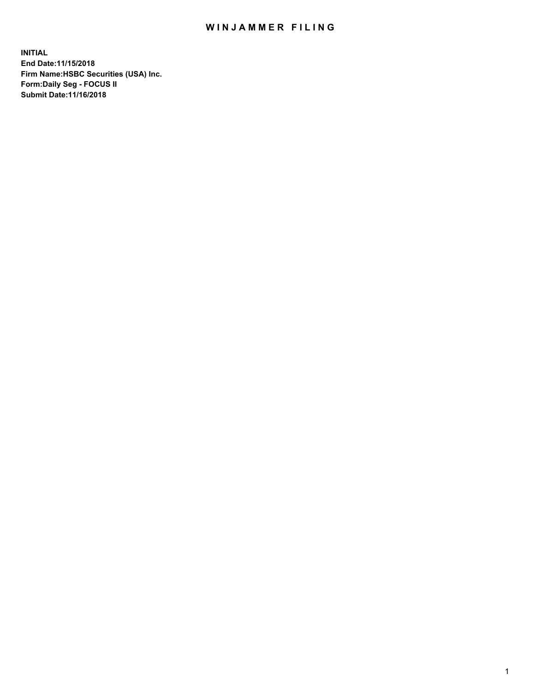## WIN JAMMER FILING

**INITIAL End Date:11/15/2018 Firm Name:HSBC Securities (USA) Inc. Form:Daily Seg - FOCUS II Submit Date:11/16/2018**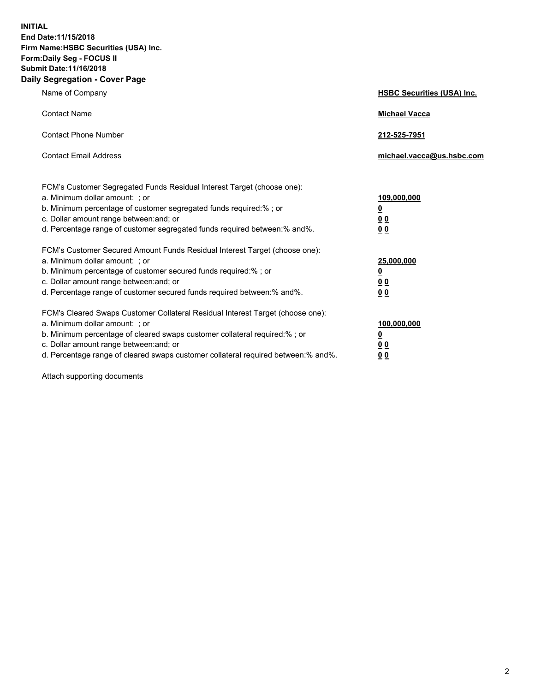**INITIAL End Date:11/15/2018 Firm Name:HSBC Securities (USA) Inc. Form:Daily Seg - FOCUS II Submit Date:11/16/2018 Daily Segregation - Cover Page**

| Name of Company                                                                                                                                                                                                                                                                                                                | <b>HSBC Securities (USA) Inc.</b>                                           |
|--------------------------------------------------------------------------------------------------------------------------------------------------------------------------------------------------------------------------------------------------------------------------------------------------------------------------------|-----------------------------------------------------------------------------|
| <b>Contact Name</b>                                                                                                                                                                                                                                                                                                            | <b>Michael Vacca</b>                                                        |
| <b>Contact Phone Number</b>                                                                                                                                                                                                                                                                                                    | 212-525-7951                                                                |
| <b>Contact Email Address</b>                                                                                                                                                                                                                                                                                                   | michael.vacca@us.hsbc.com                                                   |
| FCM's Customer Segregated Funds Residual Interest Target (choose one):<br>a. Minimum dollar amount: ; or<br>b. Minimum percentage of customer segregated funds required:% ; or<br>c. Dollar amount range between: and; or<br>d. Percentage range of customer segregated funds required between:% and%.                         | 109,000,000<br>$\underline{\mathbf{0}}$<br>0 <sub>0</sub><br>0 <sub>0</sub> |
| FCM's Customer Secured Amount Funds Residual Interest Target (choose one):<br>a. Minimum dollar amount: ; or<br>b. Minimum percentage of customer secured funds required:%; or<br>c. Dollar amount range between: and; or<br>d. Percentage range of customer secured funds required between:% and%.                            | 25,000,000<br><u>0</u><br>0 <sub>0</sub><br>00                              |
| FCM's Cleared Swaps Customer Collateral Residual Interest Target (choose one):<br>a. Minimum dollar amount: ; or<br>b. Minimum percentage of cleared swaps customer collateral required:% ; or<br>c. Dollar amount range between: and; or<br>d. Percentage range of cleared swaps customer collateral required between:% and%. | 100,000,000<br><u>0</u><br><u>00</u><br>00                                  |

Attach supporting documents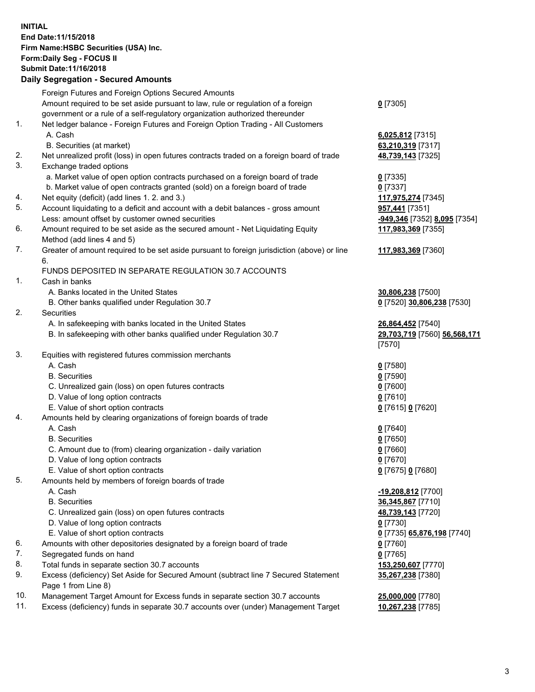**INITIAL End Date:11/15/2018 Firm Name:HSBC Securities (USA) Inc. Form:Daily Seg - FOCUS II Submit Date:11/16/2018**

## **Daily Segregation - Secured Amounts**

|     | Foreign Futures and Foreign Options Secured Amounts                                                        |                              |
|-----|------------------------------------------------------------------------------------------------------------|------------------------------|
|     | Amount required to be set aside pursuant to law, rule or regulation of a foreign                           | $0$ [7305]                   |
|     | government or a rule of a self-regulatory organization authorized thereunder                               |                              |
| 1.  | Net ledger balance - Foreign Futures and Foreign Option Trading - All Customers                            |                              |
|     | A. Cash                                                                                                    | 6,025,812 [7315]             |
|     | B. Securities (at market)                                                                                  | 63,210,319 [7317]            |
| 2.  | Net unrealized profit (loss) in open futures contracts traded on a foreign board of trade                  | 48,739,143 [7325]            |
| 3.  | Exchange traded options                                                                                    |                              |
|     | a. Market value of open option contracts purchased on a foreign board of trade                             | $0$ [7335]                   |
|     | b. Market value of open contracts granted (sold) on a foreign board of trade                               | $0$ [7337]                   |
| 4.  | Net equity (deficit) (add lines 1. 2. and 3.)                                                              | 117,975,274 [7345]           |
| 5.  | Account liquidating to a deficit and account with a debit balances - gross amount                          | 957,441 [7351]               |
|     | Less: amount offset by customer owned securities                                                           | -949,346 [7352] 8,095 [7354] |
| 6.  | Amount required to be set aside as the secured amount - Net Liquidating Equity                             | 117,983,369 [7355]           |
|     | Method (add lines 4 and 5)                                                                                 |                              |
| 7.  | Greater of amount required to be set aside pursuant to foreign jurisdiction (above) or line<br>6.          | 117,983,369 [7360]           |
|     | FUNDS DEPOSITED IN SEPARATE REGULATION 30.7 ACCOUNTS                                                       |                              |
| 1.  | Cash in banks                                                                                              |                              |
|     | A. Banks located in the United States                                                                      | 30,806,238 [7500]            |
|     | B. Other banks qualified under Regulation 30.7                                                             | 0 [7520] 30,806,238 [7530]   |
| 2.  | Securities                                                                                                 |                              |
|     | A. In safekeeping with banks located in the United States                                                  | 26,864,452 [7540]            |
|     | B. In safekeeping with other banks qualified under Regulation 30.7                                         | 29,703,719 [7560] 56,568,171 |
|     |                                                                                                            | [7570]                       |
| 3.  | Equities with registered futures commission merchants                                                      |                              |
|     | A. Cash                                                                                                    | $0$ [7580]                   |
|     | <b>B.</b> Securities                                                                                       | $0$ [7590]                   |
|     | C. Unrealized gain (loss) on open futures contracts                                                        | $0$ [7600]                   |
|     | D. Value of long option contracts                                                                          | $0$ [7610]                   |
|     | E. Value of short option contracts                                                                         | 0 [7615] 0 [7620]            |
| 4.  | Amounts held by clearing organizations of foreign boards of trade                                          |                              |
|     | A. Cash                                                                                                    | $0$ [7640]                   |
|     | <b>B.</b> Securities                                                                                       | $0$ [7650]                   |
|     | C. Amount due to (from) clearing organization - daily variation                                            | $0$ [7660]                   |
|     | D. Value of long option contracts                                                                          | $0$ [7670]                   |
|     | E. Value of short option contracts                                                                         | 0 [7675] 0 [7680]            |
| 5.  | Amounts held by members of foreign boards of trade                                                         |                              |
|     | A. Cash                                                                                                    | <u>-19,208,812</u> [7700]    |
|     | <b>B.</b> Securities                                                                                       | 36,345,867 [7710]            |
|     | C. Unrealized gain (loss) on open futures contracts                                                        | 48,739,143 [7720]            |
|     | D. Value of long option contracts                                                                          | $0$ [7730]                   |
|     | E. Value of short option contracts                                                                         | 0 [7735] 65,876,198 [7740]   |
| 6.  | Amounts with other depositories designated by a foreign board of trade                                     | $0$ [7760]                   |
| 7.  | Segregated funds on hand                                                                                   | $0$ [7765]                   |
| 8.  | Total funds in separate section 30.7 accounts                                                              | 153,250,607 [7770]           |
| 9.  | Excess (deficiency) Set Aside for Secured Amount (subtract line 7 Secured Statement<br>Page 1 from Line 8) | 35,267,238 [7380]            |
| 10. | Management Target Amount for Excess funds in separate section 30.7 accounts                                | 25,000,000 [7780]            |
| 11. | Excess (deficiency) funds in separate 30.7 accounts over (under) Management Target                         | 10,267,238 [7785]            |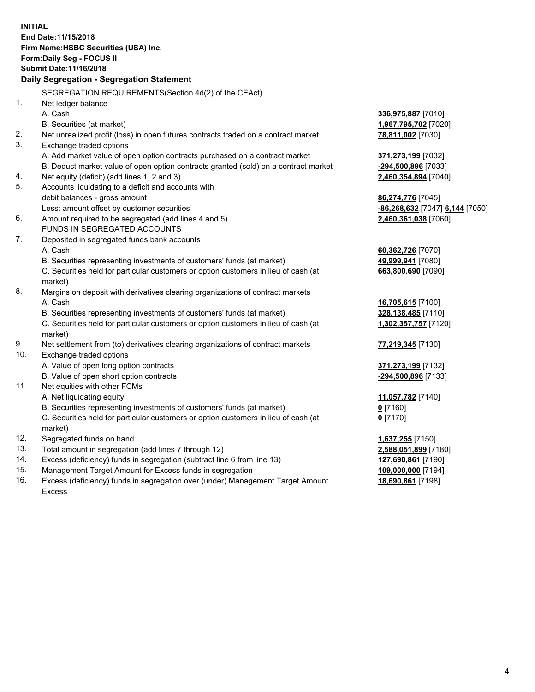|     | <b>INITIAL</b><br>End Date: 11/15/2018<br>Firm Name: HSBC Securities (USA) Inc.<br>Form: Daily Seg - FOCUS II<br>Submit Date: 11/16/2018 |                                 |
|-----|------------------------------------------------------------------------------------------------------------------------------------------|---------------------------------|
|     | Daily Segregation - Segregation Statement                                                                                                |                                 |
|     | SEGREGATION REQUIREMENTS(Section 4d(2) of the CEAct)                                                                                     |                                 |
| 1.  | Net ledger balance                                                                                                                       |                                 |
|     | A. Cash                                                                                                                                  | 336,975,887 [7010]              |
|     | B. Securities (at market)                                                                                                                | 1,967,795,702 [7020]            |
| 2.  | Net unrealized profit (loss) in open futures contracts traded on a contract market                                                       | 78,811,002 [7030]               |
| 3.  | Exchange traded options                                                                                                                  |                                 |
|     | A. Add market value of open option contracts purchased on a contract market                                                              | 371,273,199 [7032]              |
|     | B. Deduct market value of open option contracts granted (sold) on a contract market                                                      | -294,500,896 [7033]             |
| 4.  | Net equity (deficit) (add lines 1, 2 and 3)                                                                                              | 2,460,354,894 [7040]            |
| 5.  | Accounts liquidating to a deficit and accounts with                                                                                      |                                 |
|     | debit balances - gross amount                                                                                                            | 86,274,776 [7045]               |
|     | Less: amount offset by customer securities                                                                                               | -86,268,632 [7047] 6,144 [7050] |
| 6.  | Amount required to be segregated (add lines 4 and 5)                                                                                     | 2,460,361,038 [7060]            |
|     | FUNDS IN SEGREGATED ACCOUNTS                                                                                                             |                                 |
| 7.  | Deposited in segregated funds bank accounts                                                                                              |                                 |
|     | A. Cash                                                                                                                                  | 60,362,726 [7070]               |
|     | B. Securities representing investments of customers' funds (at market)                                                                   | 49,999,941 [7080]               |
|     | C. Securities held for particular customers or option customers in lieu of cash (at                                                      | 663,800,690 [7090]              |
|     | market)                                                                                                                                  |                                 |
| 8.  | Margins on deposit with derivatives clearing organizations of contract markets                                                           |                                 |
|     | A. Cash                                                                                                                                  | 16,705,615 [7100]               |
|     | B. Securities representing investments of customers' funds (at market)                                                                   | 328,138,485 [7110]              |
|     | C. Securities held for particular customers or option customers in lieu of cash (at                                                      | 1,302,357,757 [7120]            |
|     | market)                                                                                                                                  |                                 |
| 9.  | Net settlement from (to) derivatives clearing organizations of contract markets                                                          | 77,219,345 [7130]               |
| 10. | Exchange traded options                                                                                                                  |                                 |
|     | A. Value of open long option contracts                                                                                                   | 371,273,199 [7132]              |
|     | B. Value of open short option contracts                                                                                                  | -294,500,896 [7133]             |
| 11. | Net equities with other FCMs                                                                                                             |                                 |
|     | A. Net liquidating equity                                                                                                                | 11,057,782 [7140]               |
|     | B. Securities representing investments of customers' funds (at market)                                                                   | $0$ [7160]                      |
|     | C. Securities held for particular customers or option customers in lieu of cash (at                                                      | $0$ [7170]                      |
|     | market)                                                                                                                                  |                                 |
| 12. | Segregated funds on hand                                                                                                                 | 1,637,255 [7150]                |
| 13. | Total amount in segregation (add lines 7 through 12)                                                                                     | 2,588,051,899 [7180]            |
| 14. | Excess (deficiency) funds in segregation (subtract line 6 from line 13)                                                                  | 127,690,861 [7190]              |
| 15. | Management Target Amount for Excess funds in segregation                                                                                 | 109,000,000 [7194]              |
| 16. | Excess (deficiency) funds in segregation over (under) Management Target Amount                                                           | 18,690,861 [7198]               |

Excess